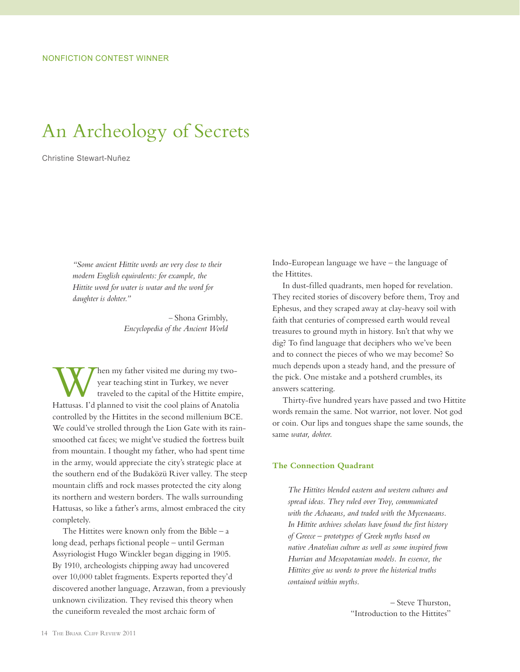# An Archeology of Secrets

Christine Stewart-Nuñez

*"Some ancient Hittite words are very close to their modern English equivalents: for example, the Hittite word for water is watar and the word for daughter is dohter."* 

> *–* Shona Grimbly, *Encyclopedia of the Ancient World*

When my father visited me during my two-<br>year teaching stint in Turkey, we never<br>traveled to the capital of the Hittite empire year teaching stint in Turkey, we never traveled to the capital of the Hittite empire, Hattusas. I'd planned to visit the cool plains of Anatolia controlled by the Hittites in the second millenium BCE. We could've strolled through the Lion Gate with its rainsmoothed cat faces; we might've studied the fortress built from mountain. I thought my father, who had spent time in the army, would appreciate the city's strategic place at the southern end of the Budaközü River valley. The steep mountain cliffs and rock masses protected the city along its northern and western borders. The walls surrounding Hattusas, so like a father's arms, almost embraced the city completely.

The Hittites were known only from the Bible  $-$  a long dead, perhaps fictional people – until German Assyriologist Hugo Winckler began digging in 1905. By 1910, archeologists chipping away had uncovered over 10,000 tablet fragments. Experts reported they'd discovered another language, Arzawan, from a previously unknown civilization. They revised this theory when the cuneiform revealed the most archaic form of

Indo-European language we have – the language of the Hittites.

In dust-filled quadrants, men hoped for revelation. They recited stories of discovery before them, Troy and Ephesus, and they scraped away at clay-heavy soil with faith that centuries of compressed earth would reveal treasures to ground myth in history. Isn't that why we dig? To find language that deciphers who we've been and to connect the pieces of who we may become? So much depends upon a steady hand, and the pressure of the pick. One mistake and a potsherd crumbles, its answers scattering.

Thirty-five hundred years have passed and two Hittite words remain the same. Not warrior, not lover. Not god or coin. Our lips and tongues shape the same sounds, the same *watar, dohter.*

# **The Connection Quadrant**

*The Hittites blended eastern and western cultures and spread ideas. They ruled over Troy, communicated with the Achaeans, and traded with the Mycenaeans. In Hittite archives scholars have found the first history of Greece – prototypes of Greek myths based on native Anatolian culture as well as some inspired from Hurrian and Mesopotamian models. In essence, the Hittites give us words to prove the historical truths contained within myths.*

> *–* Steve Thurston, "Introduction to the Hittites"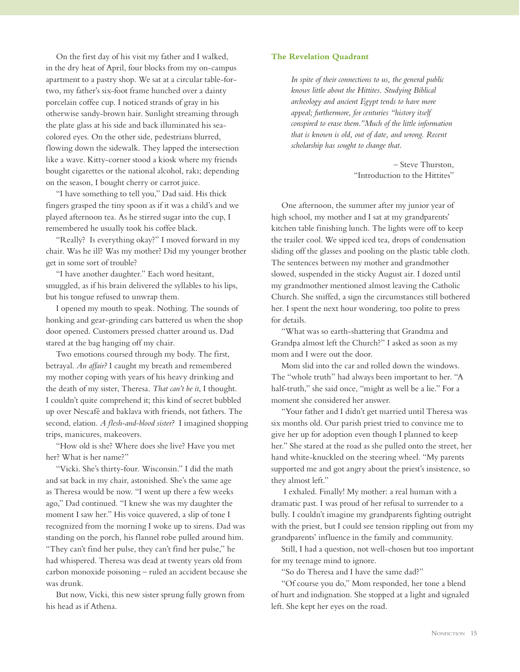On the first day of his visit my father and I walked, in the dry heat of April, four blocks from my on-campus apartment to a pastry shop. We sat at a circular table-fortwo, my father's six-foot frame hunched over a dainty porcelain coffee cup. I noticed strands of gray in his otherwise sandy-brown hair. Sunlight streaming through the plate glass at his side and back illuminated his seacolored eyes. On the other side, pedestrians blurred, flowing down the sidewalk. They lapped the intersection like a wave. Kitty-corner stood a kiosk where my friends bought cigarettes or the national alcohol, rakı; depending on the season, I bought cherry or carrot juice.

"I have something to tell you," Dad said. His thick fingers grasped the tiny spoon as if it was a child's and we played afternoon tea. As he stirred sugar into the cup, I remembered he usually took his coffee black.

"Really? Is everything okay?" I moved forward in my chair. Was he ill? Was my mother? Did my younger brother get in some sort of trouble?

"I have another daughter." Each word hesitant, smuggled, as if his brain delivered the syllables to his lips, but his tongue refused to unwrap them.

I opened my mouth to speak. Nothing. The sounds of honking and gear-grinding cars battered us when the shop door opened. Customers pressed chatter around us. Dad stared at the bag hanging off my chair.

Two emotions coursed through my body. The first, betrayal. *An affair?* I caught my breath and remembered my mother coping with years of his heavy drinking and the death of my sister, Theresa. *That can't be it*, I thought. I couldn't quite comprehend it; this kind of secret bubbled up over Nescafé and baklava with friends, not fathers. The second, elation. *A flesh-and-blood sister?* I imagined shopping trips, manicures, makeovers.

"How old is she? Where does she live? Have you met her? What is her name?"

"Vicki. She's thirty-four. Wisconsin." I did the math and sat back in my chair, astonished. She's the same age as Theresa would be now. "I went up there a few weeks ago," Dad continued. "I knew she was my daughter the moment I saw her." His voice quavered, a slip of tone I recognized from the morning I woke up to sirens. Dad was standing on the porch, his flannel robe pulled around him. "They can't find her pulse, they can't find her pulse," he had whispered. Theresa was dead at twenty years old from carbon monoxide poisoning – ruled an accident because she was drunk.

But now, Vicki, this new sister sprung fully grown from his head as if Athena.

## **The Revelation Quadrant**

*In spite of their connections to us, the general public knows little about the Hittites. Studying Biblical archeology and ancient Egypt tends to have more appeal; furthermore, for centuries "history itself conspired to erase them."Much of the little information that is known is old, out of date, and wrong. Recent scholarship has sought to change that.*

> *–* Steve Thurston, "Introduction to the Hittites"

One afternoon, the summer after my junior year of high school, my mother and I sat at my grandparents' kitchen table finishing lunch. The lights were off to keep the trailer cool. We sipped iced tea, drops of condensation sliding off the glasses and pooling on the plastic table cloth. The sentences between my mother and grandmother slowed, suspended in the sticky August air. I dozed until my grandmother mentioned almost leaving the Catholic Church. She sniffed, a sign the circumstances still bothered her. I spent the next hour wondering, too polite to press for details.

"What was so earth-shattering that Grandma and Grandpa almost left the Church?" I asked as soon as my mom and I were out the door.

Mom slid into the car and rolled down the windows. The "whole truth" had always been important to her. "A half-truth," she said once, "might as well be a lie." For a moment she considered her answer.

"Your father and I didn't get married until Theresa was six months old. Our parish priest tried to convince me to give her up for adoption even though I planned to keep her." She stared at the road as she pulled onto the street, her hand white-knuckled on the steering wheel. "My parents supported me and got angry about the priest's insistence, so they almost left."

 I exhaled. Finally! My mother: a real human with a dramatic past. I was proud of her refusal to surrender to a bully. I couldn't imagine my grandparents fighting outright with the priest, but I could see tension rippling out from my grandparents' influence in the family and community.

Still, I had a question, not well-chosen but too important for my teenage mind to ignore.

"So do Theresa and I have the same dad?"

"Of course you do," Mom responded, her tone a blend of hurt and indignation. She stopped at a light and signaled left. She kept her eyes on the road.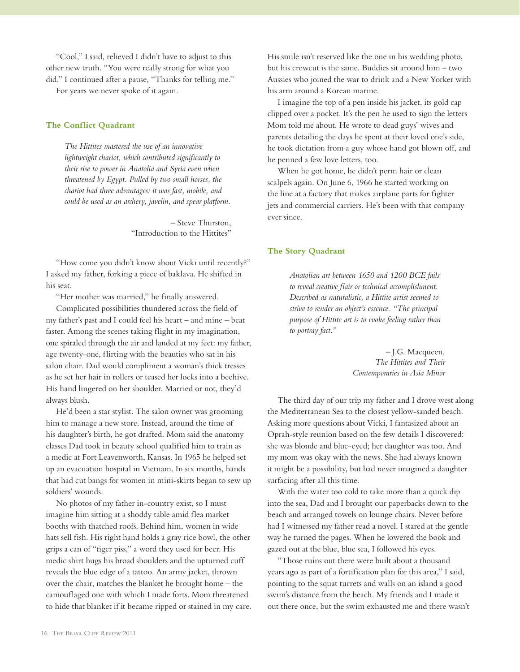"Cool," I said, relieved I didn't have to adjust to this other new truth. "You were really strong for what you did." I continued after a pause, "Thanks for telling me."

For years we never spoke of it again.

## **The Conflict Quadrant**

*The Hittites mastered the use of an innovative lightweight chariot, which contributed significantly to their rise to power in Anatolia and Syria even when threatened by Egypt. Pulled by two small horses, the chariot had three advantages: it was fast, mobile, and could be used as an archery, javelin, and spear platform.* 

> *–* Steve Thurston, "Introduction to the Hittites"

"How come you didn't know about Vicki until recently?" I asked my father, forking a piece of baklava. He shifted in his seat.

"Her mother was married," he finally answered.

Complicated possibilities thundered across the field of my father's past and I could feel his heart – and mine – beat faster. Among the scenes taking flight in my imagination, one spiraled through the air and landed at my feet: my father, age twenty-one, flirting with the beauties who sat in his salon chair. Dad would compliment a woman's thick tresses as he set her hair in rollers or teased her locks into a beehive. His hand lingered on her shoulder. Married or not, they'd always blush.

He'd been a star stylist. The salon owner was grooming him to manage a new store. Instead, around the time of his daughter's birth, he got drafted. Mom said the anatomy classes Dad took in beauty school qualified him to train as a medic at Fort Leavenworth, Kansas. In 1965 he helped set up an evacuation hospital in Vietnam. In six months, hands that had cut bangs for women in mini-skirts began to sew up soldiers' wounds.

No photos of my father in-country exist, so I must imagine him sitting at a shoddy table amid flea market booths with thatched roofs. Behind him, women in wide hats sell fish. His right hand holds a gray rice bowl, the other grips a can of "tiger piss," a word they used for beer. His medic shirt hugs his broad shoulders and the upturned cuff reveals the blue edge of a tattoo. An army jacket, thrown over the chair, matches the blanket he brought home – the camouflaged one with which I made forts. Mom threatened to hide that blanket if it became ripped or stained in my care. His smile isn't reserved like the one in his wedding photo, but his crewcut is the same. Buddies sit around him – two Aussies who joined the war to drink and a New Yorker with his arm around a Korean marine.

I imagine the top of a pen inside his jacket, its gold cap clipped over a pocket. It's the pen he used to sign the letters Mom told me about. He wrote to dead guys' wives and parents detailing the days he spent at their loved one's side, he took dictation from a guy whose hand got blown off, and he penned a few love letters, too.

When he got home, he didn't perm hair or clean scalpels again. On June 6, 1966 he started working on the line at a factory that makes airplane parts for fighter jets and commercial carriers. He's been with that company ever since.

# **The Story Quadrant**

*Anatolian art between 1650 and 1200 BCE fails to reveal creative flair or technical accomplishment. Described as naturalistic, a Hittite artist seemed to strive to render an object's essence. "The principal purpose of Hittite art is to evoke feeling rather than to portray fact."* 

> *–* J.G. Macqueen, *The Hittites and Their Contemporaries in Asia Minor*

The third day of our trip my father and I drove west along the Mediterranean Sea to the closest yellow-sanded beach. Asking more questions about Vicki, I fantasized about an Oprah-style reunion based on the few details I discovered: she was blonde and blue-eyed; her daughter was too. And my mom was okay with the news. She had always known it might be a possibility, but had never imagined a daughter surfacing after all this time.

With the water too cold to take more than a quick dip into the sea, Dad and I brought our paperbacks down to the beach and arranged towels on lounge chairs. Never before had I witnessed my father read a novel. I stared at the gentle way he turned the pages. When he lowered the book and gazed out at the blue, blue sea, I followed his eyes.

"Those ruins out there were built about a thousand years ago as part of a fortification plan for this area," I said, pointing to the squat turrets and walls on an island a good swim's distance from the beach. My friends and I made it out there once, but the swim exhausted me and there wasn't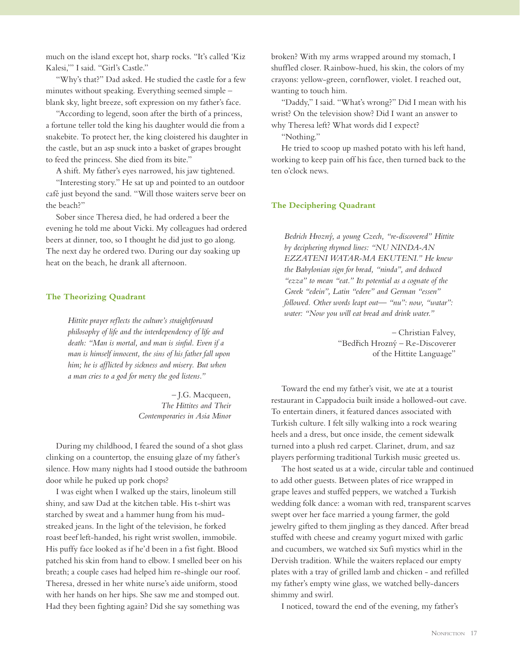much on the island except hot, sharp rocks. "It's called 'Kiz Kalesi,'" I said. "Girl's Castle."

"Why's that?" Dad asked. He studied the castle for a few minutes without speaking. Everything seemed simple – blank sky, light breeze, soft expression on my father's face.

"According to legend, soon after the birth of a princess, a fortune teller told the king his daughter would die from a snakebite. To protect her, the king cloistered his daughter in the castle, but an asp snuck into a basket of grapes brought to feed the princess. She died from its bite."

A shift. My father's eyes narrowed, his jaw tightened.

"Interesting story." He sat up and pointed to an outdoor café just beyond the sand. "Will those waiters serve beer on the beach?"

Sober since Theresa died, he had ordered a beer the evening he told me about Vicki. My colleagues had ordered beers at dinner, too, so I thought he did just to go along. The next day he ordered two. During our day soaking up heat on the beach, he drank all afternoon.

#### **The Theorizing Quadrant**

*Hittite prayer reflects the culture's straightforward philosophy of life and the interdependency of life and death: "Man is mortal, and man is sinful. Even if a man is himself innocent, the sins of his father fall upon him; he is afflicted by sickness and misery. But when a man cries to a god for mercy the god listens."* 

> *–* J.G. Macqueen, *The Hittites and Their Contemporaries in Asia Minor*

During my childhood, I feared the sound of a shot glass clinking on a countertop, the ensuing glaze of my father's silence. How many nights had I stood outside the bathroom door while he puked up pork chops?

I was eight when I walked up the stairs, linoleum still shiny, and saw Dad at the kitchen table. His t-shirt was starched by sweat and a hammer hung from his mudstreaked jeans. In the light of the television, he forked roast beef left-handed, his right wrist swollen, immobile. His puffy face looked as if he'd been in a fist fight. Blood patched his skin from hand to elbow. I smelled beer on his breath; a couple cases had helped him re-shingle our roof. Theresa, dressed in her white nurse's aide uniform, stood with her hands on her hips. She saw me and stomped out. Had they been fighting again? Did she say something was

broken? With my arms wrapped around my stomach, I shuffled closer. Rainbow-hued, his skin, the colors of my crayons: yellow-green, cornflower, violet. I reached out, wanting to touch him.

"Daddy," I said. "What's wrong?" Did I mean with his wrist? On the television show? Did I want an answer to why Theresa left? What words did I expect?

"Nothing."

He tried to scoop up mashed potato with his left hand, working to keep pain off his face, then turned back to the ten o'clock news.

# **The Deciphering Quadrant**

*Bedrich Hrozný, a young Czech, "re-discovered" Hittite by deciphering rhymed lines: "NU NINDA-AN EZZATENI WATAR-MA EKUTENI." He knew the Babylonian sign for bread, "ninda", and deduced "ezza" to mean "eat." Its potential as a cognate of the Greek "edein", Latin "edere" and German "essen" followed. Other words leapt out— "nu": now, "watar": water: "Now you will eat bread and drink water."* 

> *–* Christian Falvey, "Bedřich Hrozný – Re-Discoverer of the Hittite Language"

Toward the end my father's visit, we ate at a tourist restaurant in Cappadocia built inside a hollowed-out cave. To entertain diners, it featured dances associated with Turkish culture. I felt silly walking into a rock wearing heels and a dress, but once inside, the cement sidewalk turned into a plush red carpet. Clarinet, drum, and saz players performing traditional Turkish music greeted us.

The host seated us at a wide, circular table and continued to add other guests. Between plates of rice wrapped in grape leaves and stuffed peppers, we watched a Turkish wedding folk dance: a woman with red, transparent scarves swept over her face married a young farmer, the gold jewelry gifted to them jingling as they danced. After bread stuffed with cheese and creamy yogurt mixed with garlic and cucumbers, we watched six Sufi mystics whirl in the Dervish tradition. While the waiters replaced our empty plates with a tray of grilled lamb and chicken - and refilled my father's empty wine glass, we watched belly-dancers shimmy and swirl.

I noticed, toward the end of the evening, my father's